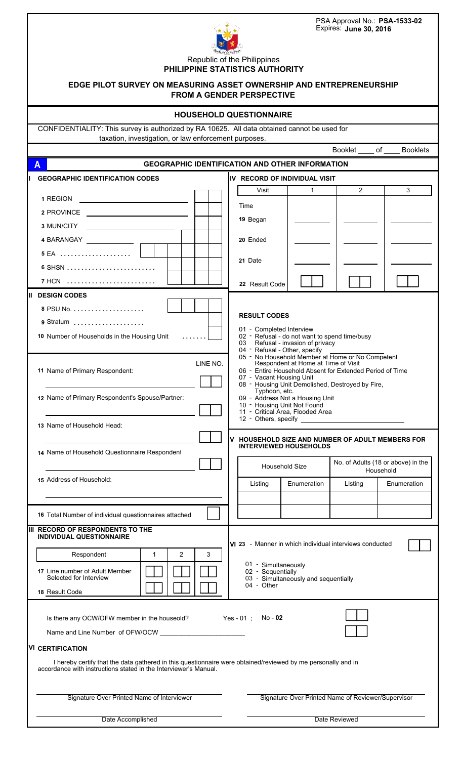| PSA Approval No.: PSA-1533-02<br>Expires: June 30, 2016                                                                                                                                                                                                                                                                                                                                                 |                                                                                                |              |                |                                    |  |  |  |
|---------------------------------------------------------------------------------------------------------------------------------------------------------------------------------------------------------------------------------------------------------------------------------------------------------------------------------------------------------------------------------------------------------|------------------------------------------------------------------------------------------------|--------------|----------------|------------------------------------|--|--|--|
| Republic of the Philippines<br>PHILIPPINE STATISTICS AUTHORITY<br>EDGE PILOT SURVEY ON MEASURING ASSET OWNERSHIP AND ENTREPRENEURSHIP<br><b>FROM A GENDER PERSPECTIVE</b>                                                                                                                                                                                                                               |                                                                                                |              |                |                                    |  |  |  |
|                                                                                                                                                                                                                                                                                                                                                                                                         | <b>HOUSEHOLD QUESTIONNAIRE</b>                                                                 |              |                |                                    |  |  |  |
| CONFIDENTIALITY: This survey is authorized by RA 10625. All data obtained cannot be used for                                                                                                                                                                                                                                                                                                            |                                                                                                |              |                |                                    |  |  |  |
| taxation, investigation, or law enforcement purposes.                                                                                                                                                                                                                                                                                                                                                   |                                                                                                |              | Booklet        | of<br><b>Booklets</b>              |  |  |  |
| <b>GEOGRAPHIC IDENTIFICATION AND OTHER INFORMATION</b><br>A                                                                                                                                                                                                                                                                                                                                             |                                                                                                |              |                |                                    |  |  |  |
| <b>GEOGRAPHIC IDENTIFICATION CODES</b>                                                                                                                                                                                                                                                                                                                                                                  | IV RECORD OF INDIVIDUAL VISIT                                                                  |              |                |                                    |  |  |  |
|                                                                                                                                                                                                                                                                                                                                                                                                         | Visit                                                                                          | $\mathbf{1}$ | $\overline{2}$ | 3                                  |  |  |  |
| 1 REGION<br>2 PROVINCE                                                                                                                                                                                                                                                                                                                                                                                  | Time                                                                                           |              |                |                                    |  |  |  |
| 3 MUN/CITY                                                                                                                                                                                                                                                                                                                                                                                              | 19 Began                                                                                       |              |                |                                    |  |  |  |
| 4 BARANGAY _____________                                                                                                                                                                                                                                                                                                                                                                                | 20 Ended                                                                                       |              |                |                                    |  |  |  |
| 5 EA                                                                                                                                                                                                                                                                                                                                                                                                    |                                                                                                |              |                |                                    |  |  |  |
|                                                                                                                                                                                                                                                                                                                                                                                                         | 21 Date                                                                                        |              |                |                                    |  |  |  |
| 7 HCN                                                                                                                                                                                                                                                                                                                                                                                                   | 22 Result Code                                                                                 |              |                |                                    |  |  |  |
| II DESIGN CODES<br><b>RESULT CODES</b><br>9 Stratum<br>01 - Completed Interview<br>10 Number of Households in the Housing Unit<br>02 - Refusal - do not want to spend time/busy<br>Refusal - invasion of privacy<br>03<br>04 - Refusal - Other, specify<br>05 - No Household Member at Home or No Competent                                                                                             |                                                                                                |              |                |                                    |  |  |  |
| Respondent at Home at Time of Visit<br>LINE NO.<br>06 - Entire Household Absent for Extended Period of Time<br>11 Name of Primary Respondent:<br>07 - Vacant Housing Unit<br>08 - Housing Unit Demolished, Destroyed by Fire,<br>Typhoon, etc.<br>12 Name of Primary Respondent's Spouse/Partner:<br>09 - Address Not a Housing Unit<br>10 - Housing Unit Not Found<br>11 - Critical Area, Flooded Area |                                                                                                |              |                |                                    |  |  |  |
| 13 Name of Household Head:<br>HOUSEHOLD SIZE AND NUMBER OF ADULT MEMBERS FOR                                                                                                                                                                                                                                                                                                                            |                                                                                                |              |                |                                    |  |  |  |
| 14 Name of Household Questionnaire Respondent                                                                                                                                                                                                                                                                                                                                                           | V<br><b>INTERVIEWED HOUSEHOLDS</b><br><b>Household Size</b>                                    |              | Household      | No. of Adults (18 or above) in the |  |  |  |
| 15 Address of Household:                                                                                                                                                                                                                                                                                                                                                                                | Listing                                                                                        | Enumeration  | Listing        | Enumeration                        |  |  |  |
|                                                                                                                                                                                                                                                                                                                                                                                                         |                                                                                                |              |                |                                    |  |  |  |
| 16 Total Number of individual questionnaires attached                                                                                                                                                                                                                                                                                                                                                   |                                                                                                |              |                |                                    |  |  |  |
| III RECORD OF RESPONDENTS TO THE<br><b>INDIVIDUAL QUESTIONNAIRE</b>                                                                                                                                                                                                                                                                                                                                     |                                                                                                |              |                |                                    |  |  |  |
| $\overline{2}$<br>3<br>Respondent<br>$\mathbf{1}$                                                                                                                                                                                                                                                                                                                                                       | VI 23 - Manner in which individual interviews conducted                                        |              |                |                                    |  |  |  |
| 17 Line number of Adult Member<br>Selected for Interview                                                                                                                                                                                                                                                                                                                                                | 01 - Simultaneously<br>02 - Sequentially<br>03 - Simultaneously and sequentially<br>04 - Other |              |                |                                    |  |  |  |
| 18 Result Code                                                                                                                                                                                                                                                                                                                                                                                          |                                                                                                |              |                |                                    |  |  |  |
| Is there any OCW/OFW member in the houseold?<br>Name and Line Number of OFW/OCW<br><b>VI CERTIFICATION</b><br>I hereby certify that the data gathered in this questionnaire were obtained/reviewed by me personally and in<br>accordance with instructions stated in the Interviewer's Manual.                                                                                                          | Yes - 01 ; No - 02                                                                             |              |                |                                    |  |  |  |
| Signature Over Printed Name of Interviewer<br>Signature Over Printed Name of Reviewer/Supervisor                                                                                                                                                                                                                                                                                                        |                                                                                                |              |                |                                    |  |  |  |
| Date Accomplished<br>Date Reviewed                                                                                                                                                                                                                                                                                                                                                                      |                                                                                                |              |                |                                    |  |  |  |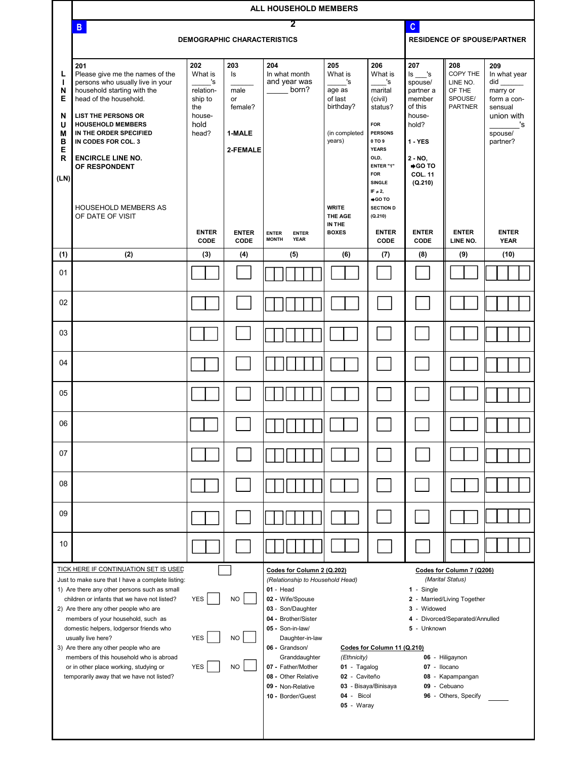|                                                                                                                                                                                                                                                                                                                                                                                                                                                                                                                                                                                                        | ALL HOUSEHOLD MEMBERS                                                                                                                                                                                                                                                                       |                                                                                |                                                                                                                                                                                                                                                                                                                                                                                                                                                                                                                                                                                                                                                                                                                      |                                                             |                                                                                   |                                                                                                                                                    |                                                                                                                                  |                                                                    |                                                                                                             |
|--------------------------------------------------------------------------------------------------------------------------------------------------------------------------------------------------------------------------------------------------------------------------------------------------------------------------------------------------------------------------------------------------------------------------------------------------------------------------------------------------------------------------------------------------------------------------------------------------------|---------------------------------------------------------------------------------------------------------------------------------------------------------------------------------------------------------------------------------------------------------------------------------------------|--------------------------------------------------------------------------------|----------------------------------------------------------------------------------------------------------------------------------------------------------------------------------------------------------------------------------------------------------------------------------------------------------------------------------------------------------------------------------------------------------------------------------------------------------------------------------------------------------------------------------------------------------------------------------------------------------------------------------------------------------------------------------------------------------------------|-------------------------------------------------------------|-----------------------------------------------------------------------------------|----------------------------------------------------------------------------------------------------------------------------------------------------|----------------------------------------------------------------------------------------------------------------------------------|--------------------------------------------------------------------|-------------------------------------------------------------------------------------------------------------|
|                                                                                                                                                                                                                                                                                                                                                                                                                                                                                                                                                                                                        | 2<br>$\mathbf{C}$<br>B                                                                                                                                                                                                                                                                      |                                                                                |                                                                                                                                                                                                                                                                                                                                                                                                                                                                                                                                                                                                                                                                                                                      |                                                             |                                                                                   |                                                                                                                                                    |                                                                                                                                  |                                                                    |                                                                                                             |
|                                                                                                                                                                                                                                                                                                                                                                                                                                                                                                                                                                                                        |                                                                                                                                                                                                                                                                                             | <b>DEMOGRAPHIC CHARACTERISTICS</b>                                             |                                                                                                                                                                                                                                                                                                                                                                                                                                                                                                                                                                                                                                                                                                                      |                                                             | <b>RESIDENCE OF SPOUSE/PARTNER</b>                                                |                                                                                                                                                    |                                                                                                                                  |                                                                    |                                                                                                             |
| L<br>N<br>Е<br>N<br>U<br>M<br>в<br>E<br>R<br>(LN)                                                                                                                                                                                                                                                                                                                                                                                                                                                                                                                                                      | 201<br>Please give me the names of the<br>persons who usually live in your<br>household starting with the<br>head of the household.<br><b>LIST THE PERSONS OR</b><br><b>HOUSEHOLD MEMBERS</b><br>IN THE ORDER SPECIFIED<br>IN CODES FOR COL. 3<br><b>ENCIRCLE LINE NO.</b><br>OF RESPONDENT | 202<br>What is<br>'s<br>relation-<br>ship to<br>the<br>house-<br>hold<br>head? | 203<br>ls<br>male<br>or<br>female?<br>1-MALE<br>2-FEMALE                                                                                                                                                                                                                                                                                                                                                                                                                                                                                                                                                                                                                                                             | 204<br>In what month<br>and year was<br>born?               | 205<br>What is<br>'s<br>age as<br>of last<br>birthday?<br>(in completed<br>years) | 206<br>What is<br>'s<br>marital<br>(civil)<br>status?<br><b>FOR</b><br><b>PERSONS</b><br>0 TO 9<br><b>YEARS</b><br>OLD,<br>ENTER "1"<br><b>FOR</b> | 207<br>ls 's<br>spouse/<br>partner a<br>member<br>of this<br>house-<br>hold?<br>$1 - YES$<br>2 - NO,<br>OT OG+<br><b>COL. 11</b> | 208<br>COPY THE<br>LINE NO.<br>OF THE<br>SPOUSE/<br><b>PARTNER</b> | 209<br>In what year<br>did<br>marry or<br>form a con-<br>sensual<br>union with<br>'s<br>spouse/<br>partner? |
|                                                                                                                                                                                                                                                                                                                                                                                                                                                                                                                                                                                                        | <b>HOUSEHOLD MEMBERS AS</b><br>OF DATE OF VISIT                                                                                                                                                                                                                                             | <b>ENTER</b><br>CODE                                                           | <b>ENTER</b><br>CODE                                                                                                                                                                                                                                                                                                                                                                                                                                                                                                                                                                                                                                                                                                 | <b>ENTER</b><br><b>ENTER</b><br><b>MONTH</b><br><b>YEAR</b> | <b>WRITE</b><br>THE AGE<br>IN THE<br><b>BOXES</b>                                 | <b>SINGLE</b><br>IF $\neq$ 2,<br>O TO<br><b>SECTION D</b><br>(Q.210)<br><b>ENTER</b><br>CODE                                                       | (Q.210)<br><b>ENTER</b><br>CODE                                                                                                  | <b>ENTER</b><br>LINE NO.                                           | <b>ENTER</b><br><b>YEAR</b>                                                                                 |
| (1)                                                                                                                                                                                                                                                                                                                                                                                                                                                                                                                                                                                                    | (2)                                                                                                                                                                                                                                                                                         | (3)                                                                            | (4)                                                                                                                                                                                                                                                                                                                                                                                                                                                                                                                                                                                                                                                                                                                  | (5)                                                         | (6)                                                                               | (7)                                                                                                                                                | (8)                                                                                                                              | (9)                                                                | (10)                                                                                                        |
| 01                                                                                                                                                                                                                                                                                                                                                                                                                                                                                                                                                                                                     |                                                                                                                                                                                                                                                                                             |                                                                                |                                                                                                                                                                                                                                                                                                                                                                                                                                                                                                                                                                                                                                                                                                                      |                                                             |                                                                                   |                                                                                                                                                    |                                                                                                                                  |                                                                    |                                                                                                             |
| 02                                                                                                                                                                                                                                                                                                                                                                                                                                                                                                                                                                                                     |                                                                                                                                                                                                                                                                                             |                                                                                |                                                                                                                                                                                                                                                                                                                                                                                                                                                                                                                                                                                                                                                                                                                      |                                                             |                                                                                   |                                                                                                                                                    |                                                                                                                                  |                                                                    |                                                                                                             |
| 03                                                                                                                                                                                                                                                                                                                                                                                                                                                                                                                                                                                                     |                                                                                                                                                                                                                                                                                             |                                                                                |                                                                                                                                                                                                                                                                                                                                                                                                                                                                                                                                                                                                                                                                                                                      |                                                             |                                                                                   |                                                                                                                                                    |                                                                                                                                  |                                                                    |                                                                                                             |
| 04                                                                                                                                                                                                                                                                                                                                                                                                                                                                                                                                                                                                     |                                                                                                                                                                                                                                                                                             |                                                                                |                                                                                                                                                                                                                                                                                                                                                                                                                                                                                                                                                                                                                                                                                                                      |                                                             |                                                                                   |                                                                                                                                                    |                                                                                                                                  |                                                                    |                                                                                                             |
| 05                                                                                                                                                                                                                                                                                                                                                                                                                                                                                                                                                                                                     |                                                                                                                                                                                                                                                                                             |                                                                                |                                                                                                                                                                                                                                                                                                                                                                                                                                                                                                                                                                                                                                                                                                                      |                                                             |                                                                                   |                                                                                                                                                    |                                                                                                                                  |                                                                    |                                                                                                             |
| 06                                                                                                                                                                                                                                                                                                                                                                                                                                                                                                                                                                                                     |                                                                                                                                                                                                                                                                                             |                                                                                |                                                                                                                                                                                                                                                                                                                                                                                                                                                                                                                                                                                                                                                                                                                      |                                                             |                                                                                   |                                                                                                                                                    |                                                                                                                                  |                                                                    |                                                                                                             |
| 07                                                                                                                                                                                                                                                                                                                                                                                                                                                                                                                                                                                                     |                                                                                                                                                                                                                                                                                             |                                                                                |                                                                                                                                                                                                                                                                                                                                                                                                                                                                                                                                                                                                                                                                                                                      |                                                             |                                                                                   |                                                                                                                                                    |                                                                                                                                  |                                                                    |                                                                                                             |
| 08                                                                                                                                                                                                                                                                                                                                                                                                                                                                                                                                                                                                     |                                                                                                                                                                                                                                                                                             |                                                                                |                                                                                                                                                                                                                                                                                                                                                                                                                                                                                                                                                                                                                                                                                                                      |                                                             |                                                                                   |                                                                                                                                                    |                                                                                                                                  |                                                                    |                                                                                                             |
| 09                                                                                                                                                                                                                                                                                                                                                                                                                                                                                                                                                                                                     |                                                                                                                                                                                                                                                                                             |                                                                                |                                                                                                                                                                                                                                                                                                                                                                                                                                                                                                                                                                                                                                                                                                                      |                                                             |                                                                                   |                                                                                                                                                    |                                                                                                                                  |                                                                    |                                                                                                             |
| 10                                                                                                                                                                                                                                                                                                                                                                                                                                                                                                                                                                                                     |                                                                                                                                                                                                                                                                                             |                                                                                |                                                                                                                                                                                                                                                                                                                                                                                                                                                                                                                                                                                                                                                                                                                      |                                                             |                                                                                   |                                                                                                                                                    |                                                                                                                                  |                                                                    |                                                                                                             |
| TICK HERE IF CONTINUATION SET IS USED<br>Just to make sure that I have a complete listing:<br>1) Are there any other persons such as small<br><b>NO</b><br>children or infants that we have not listed?<br><b>YES</b><br>2) Are there any other people who are<br>members of your household, such as<br>domestic helpers, lodgersor friends who<br><b>YES</b><br><b>NO</b><br>usually live here?<br>3) Are there any other people who are<br>members of this household who is abroad<br><b>YES</b><br><b>NO</b><br>or in other place working, studying or<br>temporarily away that we have not listed? |                                                                                                                                                                                                                                                                                             |                                                                                | Codes for Column 2 (Q.202)<br>Codes for Column 7 (Q206)<br>(Marital Status)<br>(Relationship to Household Head)<br>$01 - Head$<br>$1 -$ Single<br>02 - Wife/Spouse<br>2 - Married/Living Together<br>03 - Son/Daughter<br>3 - Widowed<br>04 - Brother/Sister<br>- Divorced/Separated/Annulled<br>4<br>05 - Son-in-law/<br>5 - Unknown<br>Daughter-in-law<br>06 - Grandson/<br>Codes for Column 11 (Q.210)<br>Granddaughter<br>(Ethnicity)<br>06 - Hiligaynon<br>07 - Father/Mother<br>01 - Tagalog<br>07 - Ilocano<br>08 - Other Relative<br>02 - Caviteño<br>08 - Kapampangan<br>09 - Cebuano<br>09 - Non-Relative<br>03 - Bisaya/Binisaya<br>04 - Bicol<br>96 - Others, Specify<br>10 - Border/Guest<br>05 - Waray |                                                             |                                                                                   |                                                                                                                                                    |                                                                                                                                  |                                                                    |                                                                                                             |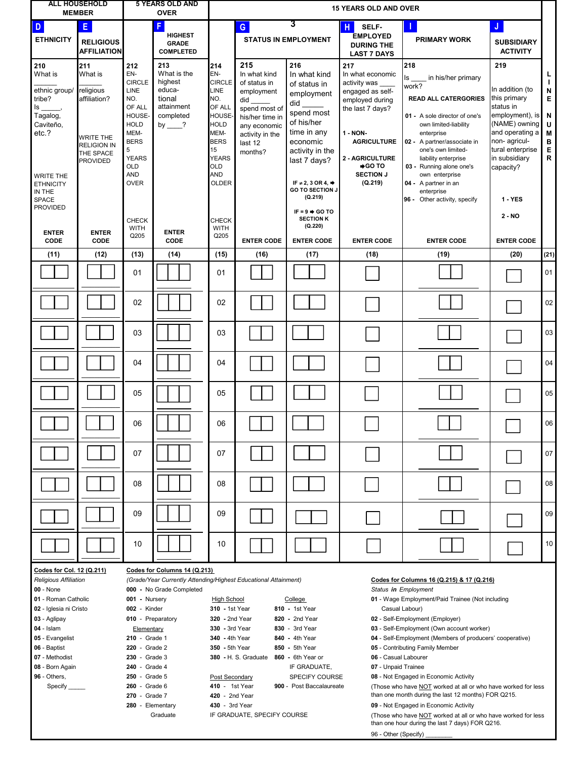|                                                                                                                                                                                                                                                                                                                                                                                                                                                                                                                                                         | <b>ALL HOUSEHOLD</b><br><b>5 YEARS OLD AND</b><br><b>15 YEARS OLD AND OVER</b><br><b>MEMBER</b><br><b>OVER</b>        |                                                                                                                                         |                                                                                                                                                                                                                                                                                                                                                                                                                                                                                                                                                                                                                                                                                                                                                                                                                                                                                                                                                                                                                                                                                                                                             |                                                                                                                            |                                                                                                                                                       |                                                                                                                                                    |                                                                                                                                                                          |                                                                                                                                                                                                                                                          |                                                                                                                                                                              |                                              |
|---------------------------------------------------------------------------------------------------------------------------------------------------------------------------------------------------------------------------------------------------------------------------------------------------------------------------------------------------------------------------------------------------------------------------------------------------------------------------------------------------------------------------------------------------------|-----------------------------------------------------------------------------------------------------------------------|-----------------------------------------------------------------------------------------------------------------------------------------|---------------------------------------------------------------------------------------------------------------------------------------------------------------------------------------------------------------------------------------------------------------------------------------------------------------------------------------------------------------------------------------------------------------------------------------------------------------------------------------------------------------------------------------------------------------------------------------------------------------------------------------------------------------------------------------------------------------------------------------------------------------------------------------------------------------------------------------------------------------------------------------------------------------------------------------------------------------------------------------------------------------------------------------------------------------------------------------------------------------------------------------------|----------------------------------------------------------------------------------------------------------------------------|-------------------------------------------------------------------------------------------------------------------------------------------------------|----------------------------------------------------------------------------------------------------------------------------------------------------|--------------------------------------------------------------------------------------------------------------------------------------------------------------------------|----------------------------------------------------------------------------------------------------------------------------------------------------------------------------------------------------------------------------------------------------------|------------------------------------------------------------------------------------------------------------------------------------------------------------------------------|----------------------------------------------|
| D<br><b>ETHNICITY</b>                                                                                                                                                                                                                                                                                                                                                                                                                                                                                                                                   | E.<br><b>RELIGIOUS</b><br><b>AFFILIATION</b>                                                                          |                                                                                                                                         | F.<br><b>HIGHEST</b><br><b>GRADE</b><br><b>COMPLETED</b>                                                                                                                                                                                                                                                                                                                                                                                                                                                                                                                                                                                                                                                                                                                                                                                                                                                                                                                                                                                                                                                                                    |                                                                                                                            | $\mathbf{G}$                                                                                                                                          | 3<br><b>STATUS IN EMPLOYMENT</b>                                                                                                                   | н<br>SELF-<br><b>EMPLOYED</b><br><b>DURING THE</b><br><b>LAST 7 DAYS</b>                                                                                                 | <b>PRIMARY WORK</b>                                                                                                                                                                                                                                      | J<br><b>SUBSIDIARY</b><br><b>ACTIVITY</b>                                                                                                                                    |                                              |
| 210<br>What is<br>ethnic group/<br>tribe?<br>ls _<br>Tagalog,<br>Caviteño,<br>etc.?                                                                                                                                                                                                                                                                                                                                                                                                                                                                     | 211<br>What is<br>religious<br>affiliation?<br><b>WRITE THE</b><br><b>RELIGION IN</b><br>THE SPACE<br><b>PROVIDED</b> | 212<br>EN-<br><b>CIRCLE</b><br>LINE<br>NO.<br>OF ALL<br>HOUSE-<br><b>HOLD</b><br>MEM-<br><b>BERS</b><br>5<br><b>YEARS</b><br><b>OLD</b> | 213<br>What is the<br>highest<br>educa-<br>tional<br>attainment<br>completed<br>by $?$                                                                                                                                                                                                                                                                                                                                                                                                                                                                                                                                                                                                                                                                                                                                                                                                                                                                                                                                                                                                                                                      | 214<br>EN-<br><b>CIRCLE</b><br>LINE<br>NO.<br>OF ALL<br>HOUSE-<br><b>HOLD</b><br>MEM-<br><b>BERS</b><br>15<br>YEARS<br>OLD | 215<br>In what kind<br>of status in<br>employment<br>did<br>spend most of<br>his/her time in<br>any economic<br>activity in the<br>last 12<br>months? | 216<br>In what kind<br>of status in<br>employment<br>did<br>spend most<br>of his/her<br>time in any<br>economic<br>activity in the<br>last 7 days? | 217<br>In what economic<br>activity was<br>engaged as self-<br>employed during<br>the last 7 days?<br>1 - NON-<br><b>AGRICULTURE</b><br>2 - AGRICULTURE<br><b>SGO TO</b> | 218<br>in his/her primary<br>ls<br>work?<br><b>READ ALL CATERGORIES</b><br>01 - A sole director of one's<br>own limited-liability<br>enterprise<br>02 - A partner/associate in<br>one's own limited-<br>liability enterprise<br>03 - Running alone one's | 219<br>In addition (to<br>this primary<br>status in<br>employment), is<br>(NAME) owning<br>and operating a<br>non-agricul-<br>tural enterprise<br>in subsidiary<br>capacity? | N<br>Е<br>N<br>U<br>M<br>В<br>E<br>${\sf R}$ |
| WRITE THE<br><b>ETHNICITY</b><br>IN THE<br><b>SPACE</b><br><b>PROVIDED</b>                                                                                                                                                                                                                                                                                                                                                                                                                                                                              |                                                                                                                       | <b>AND</b><br><b>OVER</b><br><b>CHECK</b>                                                                                               |                                                                                                                                                                                                                                                                                                                                                                                                                                                                                                                                                                                                                                                                                                                                                                                                                                                                                                                                                                                                                                                                                                                                             | AND<br><b>OLDER</b><br><b>CHECK</b>                                                                                        |                                                                                                                                                       | IF $\neq$ 2, 3 OR 4, $\Rightarrow$<br><b>GO TO SECTION J</b><br>(Q.219)<br>IF = $9$ $\Rightarrow$ GO TO<br><b>SECTION K</b>                        | <b>SECTION J</b><br>(Q.219)                                                                                                                                              | own enterprise<br>04 - A partner in an<br>enterprise<br>96 - Other activity, specify                                                                                                                                                                     | <b>1 - YES</b><br>$2 - NO$                                                                                                                                                   |                                              |
| <b>ENTER</b><br>CODE                                                                                                                                                                                                                                                                                                                                                                                                                                                                                                                                    | <b>ENTER</b><br>CODE                                                                                                  | <b>WITH</b><br>Q205                                                                                                                     | <b>ENTER</b><br>CODE                                                                                                                                                                                                                                                                                                                                                                                                                                                                                                                                                                                                                                                                                                                                                                                                                                                                                                                                                                                                                                                                                                                        | <b>WITH</b><br>Q205                                                                                                        | <b>ENTER CODE</b>                                                                                                                                     | (Q.220)<br><b>ENTER CODE</b>                                                                                                                       | <b>ENTER CODE</b>                                                                                                                                                        | <b>ENTER CODE</b>                                                                                                                                                                                                                                        | <b>ENTER CODE</b>                                                                                                                                                            |                                              |
| (11)                                                                                                                                                                                                                                                                                                                                                                                                                                                                                                                                                    | (12)                                                                                                                  | (13)                                                                                                                                    | (14)                                                                                                                                                                                                                                                                                                                                                                                                                                                                                                                                                                                                                                                                                                                                                                                                                                                                                                                                                                                                                                                                                                                                        | (15)                                                                                                                       | (16)                                                                                                                                                  | (17)                                                                                                                                               | (18)                                                                                                                                                                     | (19)                                                                                                                                                                                                                                                     | (20)                                                                                                                                                                         | (21)                                         |
|                                                                                                                                                                                                                                                                                                                                                                                                                                                                                                                                                         |                                                                                                                       | 01                                                                                                                                      |                                                                                                                                                                                                                                                                                                                                                                                                                                                                                                                                                                                                                                                                                                                                                                                                                                                                                                                                                                                                                                                                                                                                             | 01                                                                                                                         |                                                                                                                                                       |                                                                                                                                                    |                                                                                                                                                                          |                                                                                                                                                                                                                                                          |                                                                                                                                                                              | 01                                           |
|                                                                                                                                                                                                                                                                                                                                                                                                                                                                                                                                                         |                                                                                                                       | 02                                                                                                                                      |                                                                                                                                                                                                                                                                                                                                                                                                                                                                                                                                                                                                                                                                                                                                                                                                                                                                                                                                                                                                                                                                                                                                             | 02                                                                                                                         |                                                                                                                                                       |                                                                                                                                                    |                                                                                                                                                                          |                                                                                                                                                                                                                                                          |                                                                                                                                                                              | 02                                           |
|                                                                                                                                                                                                                                                                                                                                                                                                                                                                                                                                                         |                                                                                                                       | 03                                                                                                                                      |                                                                                                                                                                                                                                                                                                                                                                                                                                                                                                                                                                                                                                                                                                                                                                                                                                                                                                                                                                                                                                                                                                                                             | 03                                                                                                                         |                                                                                                                                                       |                                                                                                                                                    |                                                                                                                                                                          |                                                                                                                                                                                                                                                          |                                                                                                                                                                              | 03                                           |
|                                                                                                                                                                                                                                                                                                                                                                                                                                                                                                                                                         |                                                                                                                       | 04                                                                                                                                      |                                                                                                                                                                                                                                                                                                                                                                                                                                                                                                                                                                                                                                                                                                                                                                                                                                                                                                                                                                                                                                                                                                                                             | 04                                                                                                                         |                                                                                                                                                       |                                                                                                                                                    |                                                                                                                                                                          |                                                                                                                                                                                                                                                          |                                                                                                                                                                              | 04                                           |
|                                                                                                                                                                                                                                                                                                                                                                                                                                                                                                                                                         |                                                                                                                       | 05                                                                                                                                      |                                                                                                                                                                                                                                                                                                                                                                                                                                                                                                                                                                                                                                                                                                                                                                                                                                                                                                                                                                                                                                                                                                                                             | 05                                                                                                                         |                                                                                                                                                       |                                                                                                                                                    |                                                                                                                                                                          |                                                                                                                                                                                                                                                          |                                                                                                                                                                              | 05                                           |
|                                                                                                                                                                                                                                                                                                                                                                                                                                                                                                                                                         |                                                                                                                       | 06                                                                                                                                      |                                                                                                                                                                                                                                                                                                                                                                                                                                                                                                                                                                                                                                                                                                                                                                                                                                                                                                                                                                                                                                                                                                                                             | 06                                                                                                                         |                                                                                                                                                       |                                                                                                                                                    |                                                                                                                                                                          |                                                                                                                                                                                                                                                          |                                                                                                                                                                              | 06                                           |
|                                                                                                                                                                                                                                                                                                                                                                                                                                                                                                                                                         |                                                                                                                       | 07                                                                                                                                      |                                                                                                                                                                                                                                                                                                                                                                                                                                                                                                                                                                                                                                                                                                                                                                                                                                                                                                                                                                                                                                                                                                                                             | 07                                                                                                                         |                                                                                                                                                       |                                                                                                                                                    |                                                                                                                                                                          |                                                                                                                                                                                                                                                          |                                                                                                                                                                              | 07                                           |
|                                                                                                                                                                                                                                                                                                                                                                                                                                                                                                                                                         |                                                                                                                       | 08                                                                                                                                      |                                                                                                                                                                                                                                                                                                                                                                                                                                                                                                                                                                                                                                                                                                                                                                                                                                                                                                                                                                                                                                                                                                                                             | 08                                                                                                                         |                                                                                                                                                       |                                                                                                                                                    |                                                                                                                                                                          |                                                                                                                                                                                                                                                          |                                                                                                                                                                              | 08                                           |
|                                                                                                                                                                                                                                                                                                                                                                                                                                                                                                                                                         |                                                                                                                       | 09                                                                                                                                      |                                                                                                                                                                                                                                                                                                                                                                                                                                                                                                                                                                                                                                                                                                                                                                                                                                                                                                                                                                                                                                                                                                                                             | 09                                                                                                                         |                                                                                                                                                       |                                                                                                                                                    |                                                                                                                                                                          |                                                                                                                                                                                                                                                          |                                                                                                                                                                              | 09                                           |
|                                                                                                                                                                                                                                                                                                                                                                                                                                                                                                                                                         |                                                                                                                       | 10                                                                                                                                      |                                                                                                                                                                                                                                                                                                                                                                                                                                                                                                                                                                                                                                                                                                                                                                                                                                                                                                                                                                                                                                                                                                                                             | 10                                                                                                                         |                                                                                                                                                       |                                                                                                                                                    |                                                                                                                                                                          |                                                                                                                                                                                                                                                          |                                                                                                                                                                              | 10                                           |
| Codes for Col. 12 (Q.211)<br>Codes for Columns 14 (Q.213)<br><b>Religious Affiliation</b><br>00 - None<br>000 - No Grade Completed<br>01 - Roman Catholic<br>001 - Nursery<br>02 - Iglesia ni Cristo<br>002 - Kinder<br>03 - Aglipay<br>010 - Preparatory<br>$04 - Islam$<br>Elementary<br>05 - Evangelist<br>210 - Grade 1<br>06 - Baptist<br>220 - Grade 2<br>230 - Grade 3<br>07 - Methodist<br>08 - Born Again<br>240 - Grade 4<br>96 - Others,<br>250 - Grade 5<br>260 - Grade 6<br>Specify _____<br>270 - Grade 7<br>280 - Elementary<br>Graduate |                                                                                                                       | <b>High School</b>                                                                                                                      | (Grade/Year Currently Attending/Highest Educational Attainment)<br>Codes for Columns 16 (Q.215) & 17 (Q.216)<br>Status in Employment<br>College<br>01 - Wage Employment/Paid Trainee (Not including<br>310 - 1st Year<br>810 - 1st Year<br>Casual Labour)<br>320 - 2nd Year<br>820 - 2nd Year<br>02 - Self-Employment (Employer)<br>830 - 3rd Year<br>330 - 3rd Year<br>03 - Self-Employment (Own account worker)<br>340 - 4th Year<br>840 - 4th Year<br>04 - Self-Employment (Members of producers' cooperative)<br>350 - 5th Year<br>850 - 5th Year<br>05 - Contributing Family Member<br>380 - H. S. Graduate<br>06 - Casual Labourer<br>860 - 6th Year or<br>IF GRADUATE,<br>07 - Unpaid Trainee<br>08 - Not Engaged in Economic Activity<br>Post Secondary<br><b>SPECIFY COURSE</b><br>410 - 1st Year<br>900 - Post Baccalaureate<br>(Those who have NOT worked at all or who have worked for less<br>than one month during the last 12 months) FOR Q215.<br>420 - 2nd Year<br>430 - 3rd Year<br>09 - Not Engaged in Economic Activity<br>IF GRADUATE, SPECIFY COURSE<br>(Those who have NOT worked at all or who have worked for less |                                                                                                                            |                                                                                                                                                       |                                                                                                                                                    |                                                                                                                                                                          |                                                                                                                                                                                                                                                          |                                                                                                                                                                              |                                              |
| than one hour during the last 7 days) FOR Q216.<br>96 - Other (Specify)                                                                                                                                                                                                                                                                                                                                                                                                                                                                                 |                                                                                                                       |                                                                                                                                         |                                                                                                                                                                                                                                                                                                                                                                                                                                                                                                                                                                                                                                                                                                                                                                                                                                                                                                                                                                                                                                                                                                                                             |                                                                                                                            |                                                                                                                                                       |                                                                                                                                                    |                                                                                                                                                                          |                                                                                                                                                                                                                                                          |                                                                                                                                                                              |                                              |